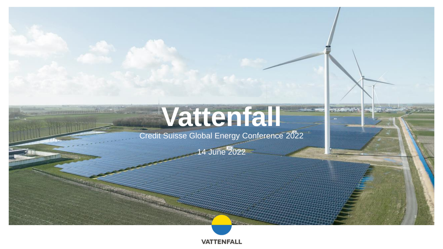# **Vattenfall**

**STARS BAY** 

Credit Suisse Global Energy Conference 2022

14 June 2022

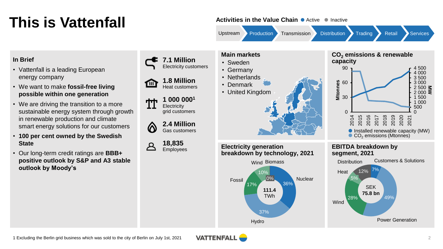### **This is Vattenfall**

#### **Activities in the Value Chain •** Active • Inactive

36%

0% Nuclear

Upstream Production Transmission Distribution Trading Retail Services

### **In Brief**

- Vattenfall is a leading European energy company
- We want to make **fossil-free living possible within one generation**
- We are driving the transition to a more sustainable energy system through growth in renewable production and climate smart energy solutions for our customers
- **100 per cent owned by the Swedish State**
- Our long-term credit ratings are **BBB+ positive outlook by S&P and A3 stable outlook by Moody's**



**2.4 Million** Gas customers

**18,835** Employees

**TBF** 



#### • Sweden

- Germany
- Netherlands
- Denmark • United Kingdom



37%

Hydro

10%

Wind Biomass

**111.4** TWh

**breakdown by technology, 2021**

17%

**Electricity generation**

Fossil





#### **EBITDA breakdown by segment, 2021**



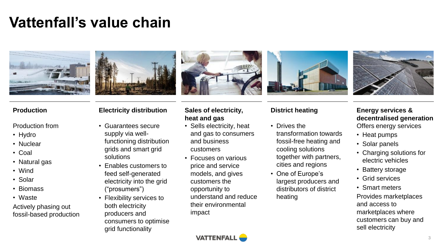### **Vattenfall's value chain**







#### Production from

- Hydro
- Nuclear
- Coal
- Natural gas
- Wind
- Solar
- Biomass
- Waste

Actively phasing out fossil-based production

- Guarantees secure supply via wellfunctioning distribution grids and smart grid solutions
- Enables customers to feed self-generated electricity into the grid ("prosumers")
- Flexibility services to both electricity producers and consumers to optimise grid functionality

#### **Production Electricity distribution Sales of electricity, heat and gas**

- Sells electricity, heat and gas to consumers and business customers
- Focuses on various price and service models, and gives customers the opportunity to understand and reduce their environmental impact



- Drives the transformation towards fossil-free heating and cooling solutions together with partners, cities and regions
- One of Europe's largest producers and distributors of district heating



#### **District heating Energy services & decentralised generation** Offers energy services

- Heat pumps
- Solar panels
- Charging solutions for electric vehicles
- Battery storage
- Grid services
- Smart meters Provides marketplaces and access to marketplaces where customers can buy and sell electricity

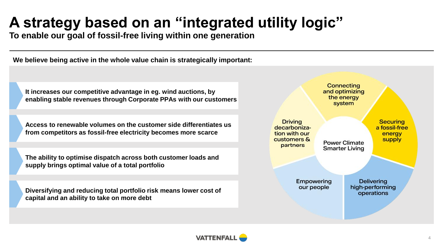### **A strategy based on an "integrated utility logic"**

**To enable our goal of fossil-free living within one generation**

**We believe being active in the whole value chain is strategically important:**

**It increases our competitive advantage in eg. wind auctions, by enabling stable revenues through Corporate PPAs with our customers**

**Access to renewable volumes on the customer side differentiates us from competitors as fossil-free electricity becomes more scarce**

**The ability to optimise dispatch across both customer loads and supply brings optimal value of a total portfolio** 

**Diversifying and reducing total portfolio risk means lower cost of capital and an ability to take on more debt**



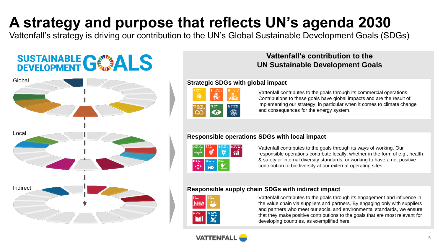### **A strategy and purpose that reflects UN's agenda 2030**

Vattenfall's strategy is driving our contribution to the UN's Global Sustainable Development Goals (SDGs)

## **SUSTAINABLE GWALS**



### **Vattenfall's contribution to the UN Sustainable Development Goals**

#### **Strategic SDGs with global impact**

| 100000-015<br>7<br>Dallery<br>٠<br>٠           | <b>ALLEN MADE:</b><br>14 MOVED 10 | $-0.07$ . The fig.<br><b>The College Bay</b> |
|------------------------------------------------|-----------------------------------|----------------------------------------------|
| 04/40<br><b>Contractor</b><br><b>LEWIS CO.</b> | 13 L.T                            | TVD-00000                                    |

Vattenfall contributes to the goals through its commercial operations. Contributions to these goals have global impacts and are the result of implementing our strategy, in particular when it comes to climate change and consequences for the energy system.





#### **Responsible operations SDGs with local impact**

| 3.2000    | <b>DIST</b><br>. <i>.</i> | <b>DANIEL</b> | 82220 |
|-----------|---------------------------|---------------|-------|
| 10 S.G. . | 14                        | lā av.<br>--  |       |

Vattenfall contributes to the goals through its ways of working. Our responsible operations contribute locally, whether in the form of e.g., health & safety or internal diversity standards, or working to have a net positive contribution to biodiversity at our external operating sites.

#### **Responsible supply chain SDGs with indirect impact**

| 1 A.L<br>医心房 | 2.12.    |
|--------------|----------|
| W.           | 16 march |

Vattenfall contributes to the goals through its engagement and influence in the value chain via suppliers and partners. By engaging only with suppliers and partners who meet our social and environmental standards, we ensure that they make positive contributions to the goals that are most relevant for developing countries, as exemplified here.

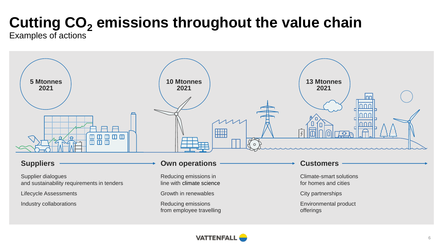## **Cutting CO<sup>2</sup> emissions throughout the value chain**

Examples of actions



#### **Suppliers**

Supplier dialogues and sustainability requirements in tenders

Lifecycle Assessments

Industry collaborations

#### **Own operations**

Reducing emissions in line with climate science

Growth in renewables

Reducing emissions from employee travelling

#### **Customers**

Climate-smart solutions for homes and cities

City partnerships

Environmental product offerings

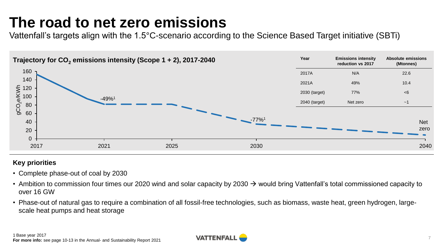### **The road to net zero emissions**

Vattenfall's targets align with the 1.5°C-scenario according to the Science Based Target initiative (SBTi)



#### **Key priorities**

- Complete phase-out of coal by 2030
- Ambition to commission four times our 2020 wind and solar capacity by 2030  $\rightarrow$  would bring Vattenfall's total commissioned capacity to over 16 GW
- Phase-out of natural gas to require a combination of all fossil-free technologies, such as biomass, waste heat, green hydrogen, largescale heat pumps and heat storage

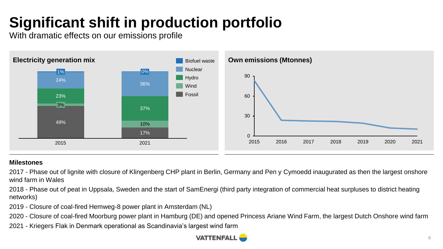### **Significant shift in production portfolio**

With dramatic effects on our emissions profile



#### **Milestones**

2017 - Phase out of lignite with closure of Klingenberg CHP plant in Berlin, Germany and Pen y Cymoedd inaugurated as then the largest onshore wind farm in Wales

2018 - Phase out of peat in Uppsala, Sweden and the start of SamEnergi (third party integration of commercial heat surpluses to district heating networks)

2019 - Closure of coal-fired Hemweg-8 power plant in Amsterdam (NL)

2020 - Closure of coal-fired Moorburg power plant in Hamburg (DE) and opened Princess Ariane Wind Farm, the largest Dutch Onshore wind farm

2021 - Kriegers Flak in Denmark operational as Scandinavia's largest wind farm

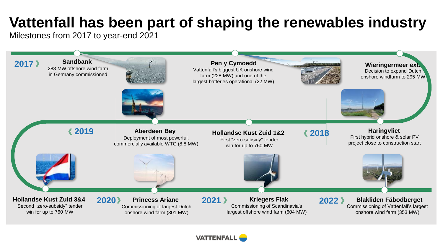### **Vattenfall has been part of shaping the renewables industry**

Milestones from 2017 to year-end 2021



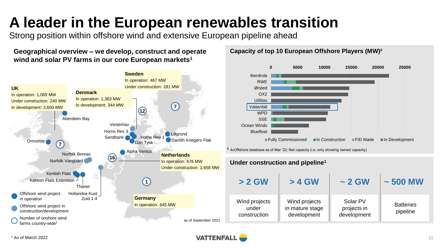### **A leader in the European renewables transition**

Strong position within offshore wind and extensive European pipeline ahead

**Geographical overview – we develop, construct and operate wind and solar PV farms in our core European markets<sup>1</sup>**



**Capacity of top 10 European Offshore Players (MW)²**

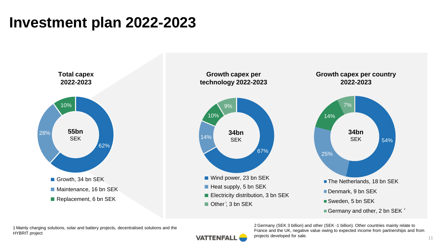### **Investment plan 2022-2023**



1 Mainly charging solutions, solar and battery projects, decentralised solutions and the HYBRIT project

2 Germany (SEK 3 billion) and other (SEK -1 billion). Other countries mainly relate to France and the UK, negative value owing to expected income from partnerships and from projects developed for sale.

**VATTENFALL**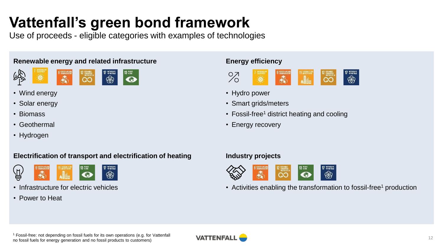### **Vattenfall's green bond framework**

Use of proceeds - eligible categories with examples of technologies

#### **Renewable energy and related infrastructure**



- Wind energy
- Solar energy
- Biomass
- Geothermal
- Hydrogen

#### **Electrification of transport and electrification of heating**



- Infrastructure for electric vehicles
- Power to Heat

#### **Energy efficiency**



- Hydro power
- Smart grids/meters
- Fossil-free<sup>1</sup> district heating and cooling
- Energy recovery

#### **Industry projects**



• Activities enabling the transformation to fossil-free<sup>1</sup> production

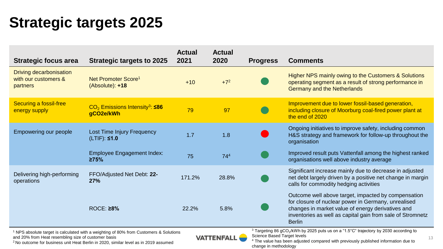### **Strategic targets 2025**

| <b>Strategic focus area</b>                                                                       | <b>Strategic targets to 2025</b>                                              | <b>Actual</b><br>2021 | <b>Actual</b><br>2020 | <b>Progress</b>                                                                                              | <b>Comments</b>                                                                                                                                                                                                                                |
|---------------------------------------------------------------------------------------------------|-------------------------------------------------------------------------------|-----------------------|-----------------------|--------------------------------------------------------------------------------------------------------------|------------------------------------------------------------------------------------------------------------------------------------------------------------------------------------------------------------------------------------------------|
| Driving decarbonisation<br>with our customers &<br>partners                                       | Net Promoter Score <sup>1</sup><br>$(Absolute): +18$                          | $+10$                 | $+7^2$                |                                                                                                              | Higher NPS mainly owing to the Customers & Solutions<br>operating segment as a result of strong performance in<br>Germany and the Netherlands                                                                                                  |
| Securing a fossil-free<br>energy supply                                                           | $CO2$ Emissions Intensity <sup>3</sup> : <b>586</b><br>gCO <sub>2e</sub> /kWh | 79                    | 97                    |                                                                                                              | Improvement due to lower fossil-based generation,<br>including closure of Moorburg coal-fired power plant at<br>the end of 2020                                                                                                                |
| Empowering our people                                                                             | Lost Time Injury Frequency<br>$(LTIF):$ \$1.0                                 | 1.7                   | 1.8                   |                                                                                                              | Ongoing initiatives to improve safety, including common<br>H&S strategy and framework for follow-up throughout the<br>organisation                                                                                                             |
|                                                                                                   | <b>Employee Engagement Index:</b><br>275%                                     | 75                    | 74 <sup>4</sup>       |                                                                                                              | Improved result puts Vattenfall among the highest ranked<br>organisations well above industry average                                                                                                                                          |
| Delivering high-performing<br>operations                                                          | FFO/Adjusted Net Debt: 22-<br>27%                                             | 171.2%                | 28.8%                 |                                                                                                              | Significant increase mainly due to decrease in adjusted<br>net debt largely driven by a positive net change in margin<br>calls for commodity hedging activities                                                                                |
|                                                                                                   | ROCE: ≥8%                                                                     | 22.2%                 | 5.8%                  |                                                                                                              | Outcome well above target, impacted by compensation<br>for closure of nuclear power in Germany, unrealised<br>changes in market value of energy derivatives and<br>inventories as well as capital gain from sale of Stromnetz<br><b>Berlin</b> |
| <sup>1</sup> NPS absolute target is calculated with a weighting of 80% from Customers & Solutions |                                                                               |                       |                       | <sup>3</sup> Targeting 86 gCO <sub>2</sub> /kWh by 2025 puts us on a "1.5°C" trajectory by 2030 according to |                                                                                                                                                                                                                                                |

<sup>1</sup> NPS absolute target is calculated with a weighting of 80% from Customers & Solutions and 20% from Heat resembling size of customer basis

<sup>2</sup>No outcome for business unit Heat Berlin in 2020, similar level as in 2019 assumed

**VATTENFALL** 

<sup>3</sup> Targeting 86 gCO<sub>2</sub>/kWh by<br>Science Based Target levels

<sup>4</sup> The value has been adjusted compared with previously published information due to change in methodology